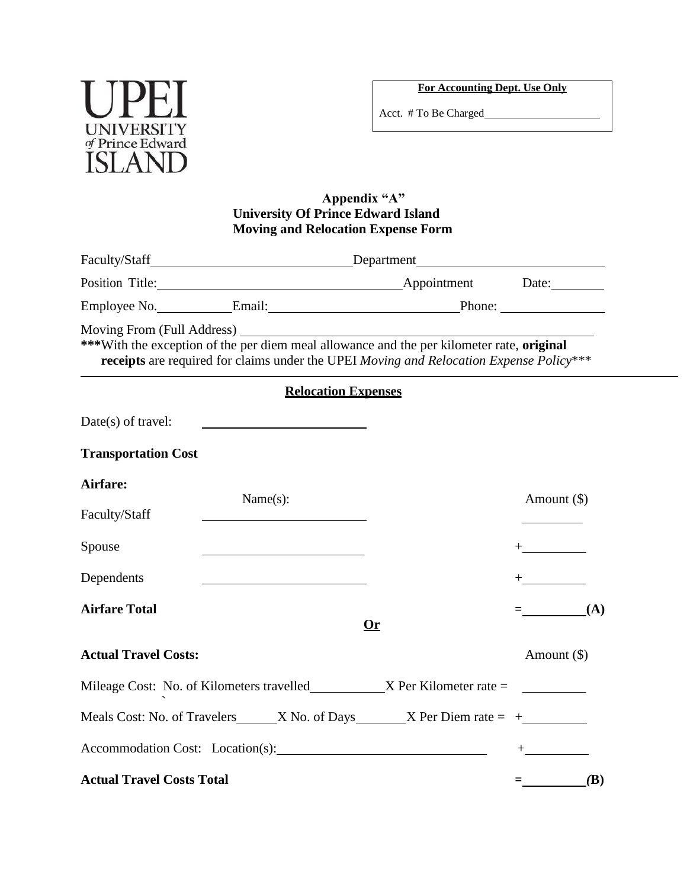

**For Accounting Dept. Use Only**

Acct. # To Be Charged

## **Appendix "A" University Of Prince Edward Island Moving and Relocation Expense Form**

|                                  | Faculty/Staff Energy Staff Energy Staff Energy Staff Energy Staff Energy Staff Energy Staff Energy Staff Energy Staff Energy Staff Energy Staff Energy Staff Energy Staff Energy Staff Energy Staff Energy Staff Energy Staff |    |                                 |  |
|----------------------------------|-------------------------------------------------------------------------------------------------------------------------------------------------------------------------------------------------------------------------------|----|---------------------------------|--|
|                                  | Position Title: Date: Date:                                                                                                                                                                                                   |    |                                 |  |
|                                  |                                                                                                                                                                                                                               |    |                                 |  |
|                                  | ***With the exception of the per diem meal allowance and the per kilometer rate, original<br>receipts are required for claims under the UPEI Moving and Relocation Expense Policy***                                          |    |                                 |  |
|                                  | <b>Relocation Expenses</b>                                                                                                                                                                                                    |    |                                 |  |
| Date(s) of travel:               | <u> 1989 - Johann Barn, mars et al. (b. 1989)</u>                                                                                                                                                                             |    |                                 |  |
| <b>Transportation Cost</b>       |                                                                                                                                                                                                                               |    |                                 |  |
| Airfare:                         |                                                                                                                                                                                                                               |    |                                 |  |
| Faculty/Staff                    | Name $(s)$ :                                                                                                                                                                                                                  |    | Amount $(\$)$                   |  |
| Spouse                           | the control of the control of the control of the control of the control of                                                                                                                                                    |    | $+$ . The set of $\mathbb{R}^n$ |  |
| Dependents                       |                                                                                                                                                                                                                               |    | $+$ $  -$                       |  |
| <b>Airfare Total</b>             |                                                                                                                                                                                                                               | 0r | $=$ (A)                         |  |
| <b>Actual Travel Costs:</b>      |                                                                                                                                                                                                                               |    | Amount $(\$)$                   |  |
|                                  |                                                                                                                                                                                                                               |    |                                 |  |
|                                  | Meals Cost: No. of Travelers $\_\_\_$ X No. of Days $\_\_\_$ X Per Diem rate = $+$                                                                                                                                            |    |                                 |  |
|                                  |                                                                                                                                                                                                                               |    |                                 |  |
| <b>Actual Travel Costs Total</b> |                                                                                                                                                                                                                               |    | <b>(B)</b><br>$=$               |  |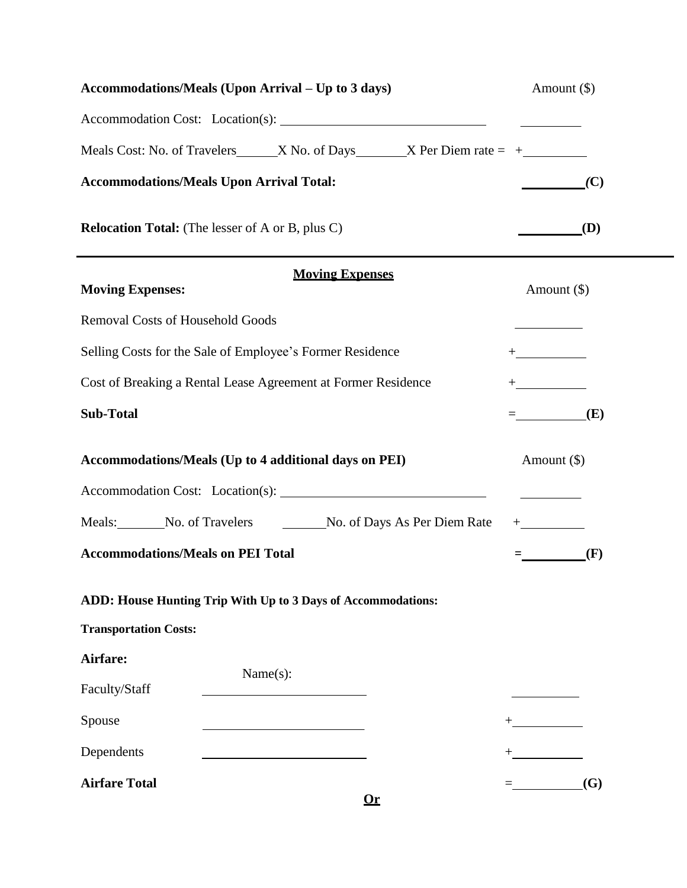| Accommodations/Meals (Upon Arrival - Up to 3 days)    |                                                                                    |          | Amount $(\$)$                                                                                                                               |
|-------------------------------------------------------|------------------------------------------------------------------------------------|----------|---------------------------------------------------------------------------------------------------------------------------------------------|
|                                                       |                                                                                    |          |                                                                                                                                             |
|                                                       | Meals Cost: No. of Travelers $\_\_\_$ X No. of Days $\_\_\_$ X Per Diem rate = $+$ |          |                                                                                                                                             |
|                                                       | <b>Accommodations/Meals Upon Arrival Total:</b>                                    |          | (C)<br>$\begin{array}{c} \begin{array}{c} \begin{array}{c} \begin{array}{c} \end{array} \\ \end{array} \end{array} \end{array} \end{array}$ |
|                                                       | <b>Relocation Total:</b> (The lesser of A or B, plus C)                            |          | $\qquad \qquad \bf(D)$                                                                                                                      |
| <b>Moving Expenses:</b>                               | <b>Moving Expenses</b>                                                             |          | Amount $(\$)$                                                                                                                               |
| <b>Removal Costs of Household Goods</b>               |                                                                                    |          |                                                                                                                                             |
|                                                       | Selling Costs for the Sale of Employee's Former Residence                          |          | $+\underline{\hspace{1.5cm}}$                                                                                                               |
|                                                       | Cost of Breaking a Rental Lease Agreement at Former Residence                      |          | $+$ $  -$                                                                                                                                   |
| <b>Sub-Total</b>                                      |                                                                                    |          | $=$ (E)                                                                                                                                     |
| Accommodations/Meals (Up to 4 additional days on PEI) |                                                                                    |          | Amount $(\$)$                                                                                                                               |
|                                                       |                                                                                    |          |                                                                                                                                             |
|                                                       | Meals: No. of Travelers No. of Days As Per Diem Rate                               |          | $+$ $ -$                                                                                                                                    |
| <b>Accommodations/Meals on PEI Total</b>              |                                                                                    |          | (F)                                                                                                                                         |
|                                                       | ADD: House Hunting Trip With Up to 3 Days of Accommodations:                       |          |                                                                                                                                             |
| <b>Transportation Costs:</b>                          |                                                                                    |          |                                                                                                                                             |
| Airfare:                                              |                                                                                    |          |                                                                                                                                             |
| Faculty/Staff                                         |                                                                                    | Name(s): |                                                                                                                                             |
| Spouse                                                |                                                                                    |          |                                                                                                                                             |
| Dependents                                            |                                                                                    |          |                                                                                                                                             |
| <b>Airfare Total</b>                                  |                                                                                    | 0r       | (G)<br>$\equiv$ 100 $\pm$ 100 $\pm$                                                                                                         |